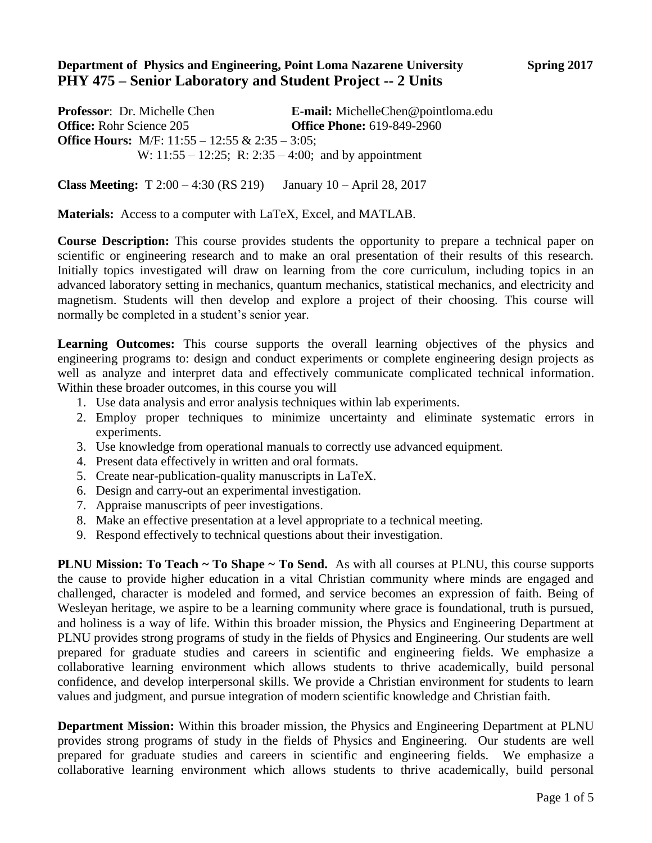## **Department of Physics and Engineering, Point Loma Nazarene University Spring 2017 PHY 475 – Senior Laboratory and Student Project -- 2 Units**

**Professor**: Dr. Michelle Chen **E-mail:** MichelleChen@pointloma.edu **Office:** Rohr Science 205 **Office Phone:** 619-849-2960 **Office Hours:** M/F: 11:55 – 12:55 & 2:35 – 3:05; W: 11:55 – 12:25; R: 2:35 – 4:00; and by appointment

**Class Meeting:** T 2:00 – 4:30 (RS 219) January 10 – April 28, 2017

**Materials:** Access to a computer with LaTeX, Excel, and MATLAB.

**Course Description:** This course provides students the opportunity to prepare a technical paper on scientific or engineering research and to make an oral presentation of their results of this research. Initially topics investigated will draw on learning from the core curriculum, including topics in an advanced laboratory setting in mechanics, quantum mechanics, statistical mechanics, and electricity and magnetism. Students will then develop and explore a project of their choosing. This course will normally be completed in a student's senior year.

Learning Outcomes: This course supports the overall learning objectives of the physics and engineering programs to: design and conduct experiments or complete engineering design projects as well as analyze and interpret data and effectively communicate complicated technical information. Within these broader outcomes, in this course you will

- 1. Use data analysis and error analysis techniques within lab experiments.
- 2. Employ proper techniques to minimize uncertainty and eliminate systematic errors in experiments.
- 3. Use knowledge from operational manuals to correctly use advanced equipment.
- 4. Present data effectively in written and oral formats.
- 5. Create near-publication-quality manuscripts in LaTeX.
- 6. Design and carry-out an experimental investigation.
- 7. Appraise manuscripts of peer investigations.
- 8. Make an effective presentation at a level appropriate to a technical meeting.
- 9. Respond effectively to technical questions about their investigation.

**PLNU Mission: To Teach ~ To Shape ~ To Send.** As with all courses at PLNU, this course supports the cause to provide higher education in a vital Christian community where minds are engaged and challenged, character is modeled and formed, and service becomes an expression of faith. Being of Wesleyan heritage, we aspire to be a learning community where grace is foundational, truth is pursued, and holiness is a way of life. Within this broader mission, the Physics and Engineering Department at PLNU provides strong programs of study in the fields of Physics and Engineering. Our students are well prepared for graduate studies and careers in scientific and engineering fields. We emphasize a collaborative learning environment which allows students to thrive academically, build personal confidence, and develop interpersonal skills. We provide a Christian environment for students to learn values and judgment, and pursue integration of modern scientific knowledge and Christian faith.

**Department Mission:** Within this broader mission, the Physics and Engineering Department at PLNU provides strong programs of study in the fields of Physics and Engineering. Our students are well prepared for graduate studies and careers in scientific and engineering fields. We emphasize a collaborative learning environment which allows students to thrive academically, build personal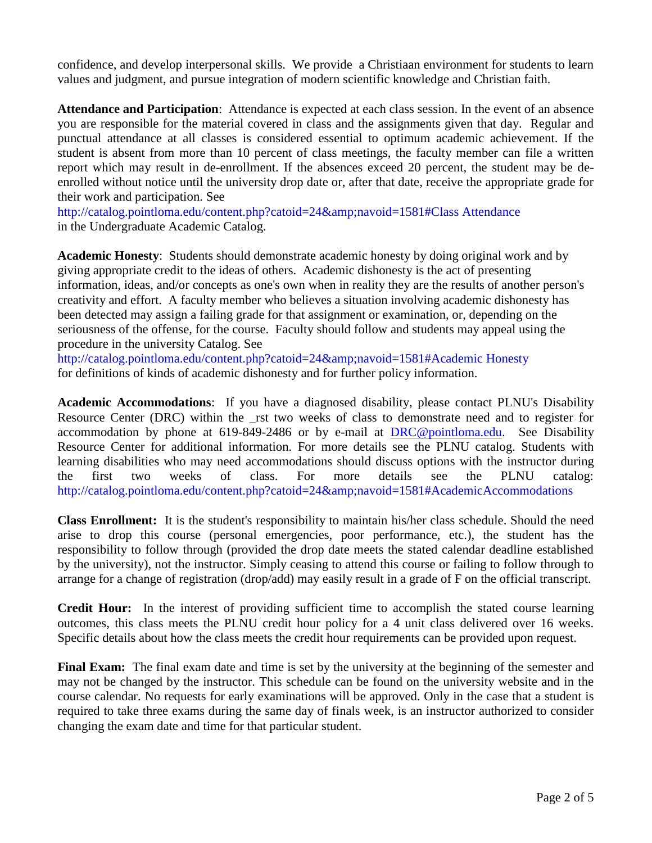confidence, and develop interpersonal skills. We provide a Christiaan environment for students to learn values and judgment, and pursue integration of modern scientific knowledge and Christian faith.

**Attendance and Participation**: Attendance is expected at each class session. In the event of an absence you are responsible for the material covered in class and the assignments given that day. Regular and punctual attendance at all classes is considered essential to optimum academic achievement. If the student is absent from more than 10 percent of class meetings, the faculty member can file a written report which may result in de-enrollment. If the absences exceed 20 percent, the student may be deenrolled without notice until the university drop date or, after that date, receive the appropriate grade for their work and participation. See

http://catalog.pointloma.edu/content.php?catoid=24&navoid=1581#Class Attendance in the Undergraduate Academic Catalog.

**Academic Honesty**: Students should demonstrate academic honesty by doing original work and by giving appropriate credit to the ideas of others. Academic dishonesty is the act of presenting information, ideas, and/or concepts as one's own when in reality they are the results of another person's creativity and effort. A faculty member who believes a situation involving academic dishonesty has been detected may assign a failing grade for that assignment or examination, or, depending on the seriousness of the offense, for the course. Faculty should follow and students may appeal using the procedure in the university Catalog. See

http://catalog.pointloma.edu/content.php?catoid=24&navoid=1581#Academic Honesty for definitions of kinds of academic dishonesty and for further policy information.

**Academic Accommodations**: If you have a diagnosed disability, please contact PLNU's Disability Resource Center (DRC) within the rst two weeks of class to demonstrate need and to register for accommodation by phone at 619-849-2486 or by e-mail at [DRC@pointloma.edu.](mailto:DRC@pointloma.edu) See Disability Resource Center for additional information. For more details see the PLNU catalog. Students with learning disabilities who may need accommodations should discuss options with the instructor during the first two weeks of class. For more details see the PLNU catalog: http://catalog.pointloma.edu/content.php?catoid=24&navoid=1581#AcademicAccommodations

**Class Enrollment:** It is the student's responsibility to maintain his/her class schedule. Should the need arise to drop this course (personal emergencies, poor performance, etc.), the student has the responsibility to follow through (provided the drop date meets the stated calendar deadline established by the university), not the instructor. Simply ceasing to attend this course or failing to follow through to arrange for a change of registration (drop/add) may easily result in a grade of F on the official transcript.

**Credit Hour:** In the interest of providing sufficient time to accomplish the stated course learning outcomes, this class meets the PLNU credit hour policy for a 4 unit class delivered over 16 weeks. Specific details about how the class meets the credit hour requirements can be provided upon request.

**Final Exam:** The final exam date and time is set by the university at the beginning of the semester and may not be changed by the instructor. This schedule can be found on the university website and in the course calendar. No requests for early examinations will be approved. Only in the case that a student is required to take three exams during the same day of finals week, is an instructor authorized to consider changing the exam date and time for that particular student.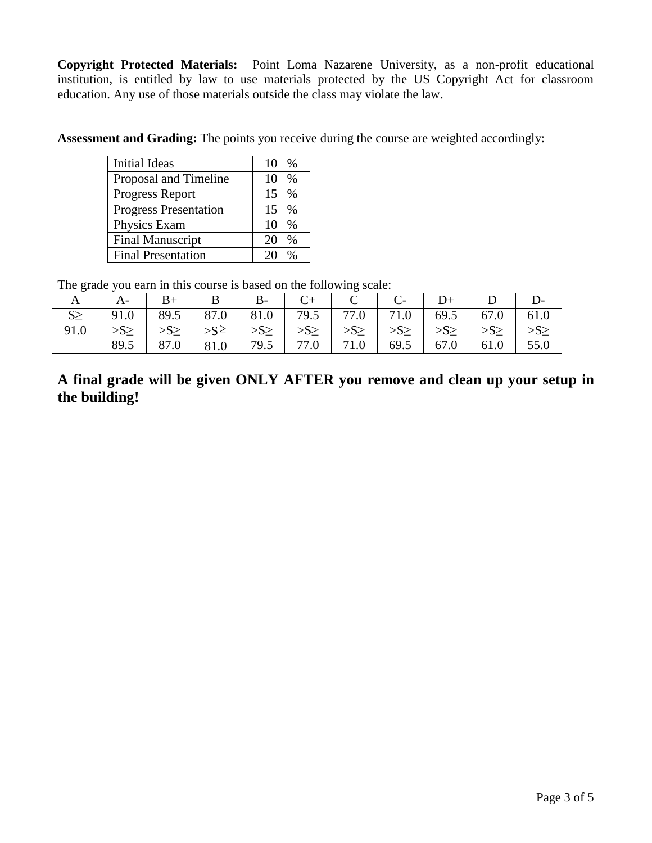**Copyright Protected Materials:** Point Loma Nazarene University, as a non-profit educational institution, is entitled by law to use materials protected by the US Copyright Act for classroom education. Any use of those materials outside the class may violate the law.

**Assessment and Grading:** The points you receive during the course are weighted accordingly:

| <b>Initial Ideas</b>         | 10<br>$\%$          |
|------------------------------|---------------------|
| Proposal and Timeline        | 10<br>%             |
| Progress Report              | 15<br>$\frac{0}{6}$ |
| <b>Progress Presentation</b> | 15<br>$\frac{0}{6}$ |
| Physics Exam                 | 10<br>$\frac{0}{6}$ |
| <b>Final Manuscript</b>      | 20<br>%             |
| <b>Final Presentation</b>    |                     |

The grade you earn in this course is based on the following scale:

|      | A   A   B +   B   B -   C +   C   C -   D +   D                                                                                                                                                                                                                                                                                                                                                                                                                                                                                                                                 |  |                                                                                |  |  |  |  |  |  |
|------|---------------------------------------------------------------------------------------------------------------------------------------------------------------------------------------------------------------------------------------------------------------------------------------------------------------------------------------------------------------------------------------------------------------------------------------------------------------------------------------------------------------------------------------------------------------------------------|--|--------------------------------------------------------------------------------|--|--|--|--|--|--|
|      | $S \ge$   91.0   89.5   87.0   81.0   79.5   77.0   71.0   69.5   67.0   61.0                                                                                                                                                                                                                                                                                                                                                                                                                                                                                                   |  |                                                                                |  |  |  |  |  |  |
| 91.0 | $\left  \right  \rightarrow \mathbb{S} \geq \left  \right  \rightarrow \mathbb{S} \geq \left  \right  \rightarrow \mathbb{S} \geq \left  \right  \rightarrow \mathbb{S} \geq \left  \right  \rightarrow \mathbb{S} \geq \left  \right  \rightarrow \mathbb{S} \geq \left  \right  \rightarrow \mathbb{S} \geq \left  \right  \rightarrow \mathbb{S} \geq \left  \right  \rightarrow \mathbb{S} \geq \left  \right  \rightarrow \mathbb{S} \geq \left  \right  \rightarrow \mathbb{S} \geq \left  \right  \rightarrow \mathbb{S} \geq \left  \right  \rightarrow \mathbb{S} \ge$ |  |                                                                                |  |  |  |  |  |  |
|      | 89.5                                                                                                                                                                                                                                                                                                                                                                                                                                                                                                                                                                            |  | $87.0$   $81.0$   $79.5$   $77.0$   $71.0$   $69.5$   $67.0$   $61.0$   $55.0$ |  |  |  |  |  |  |

**A final grade will be given ONLY AFTER you remove and clean up your setup in the building!**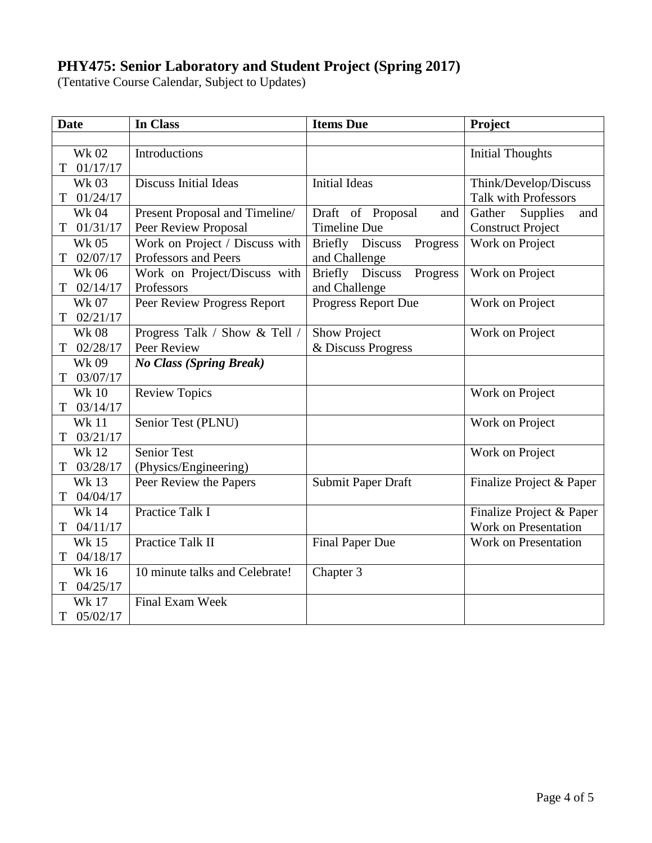## **PHY475: Senior Laboratory and Student Project (Spring 2017)**

(Tentative Course Calendar, Subject to Updates)

| <b>Date</b>   | In Class                       | <b>Items Due</b>            | Project                     |  |
|---------------|--------------------------------|-----------------------------|-----------------------------|--|
|               |                                |                             |                             |  |
| <b>Wk 02</b>  | Introductions                  |                             | <b>Initial Thoughts</b>     |  |
| 01/17/17<br>T |                                |                             |                             |  |
| <b>Wk03</b>   | <b>Discuss Initial Ideas</b>   | <b>Initial Ideas</b>        | Think/Develop/Discuss       |  |
| 01/24/17<br>T |                                |                             | <b>Talk with Professors</b> |  |
| <b>Wk 04</b>  | Present Proposal and Timeline/ | Draft of Proposal<br>and    | Supplies<br>Gather<br>and   |  |
| 01/31/17<br>T | Peer Review Proposal           | <b>Timeline Due</b>         | <b>Construct Project</b>    |  |
| <b>Wk 05</b>  | Work on Project / Discuss with | Briefly Discuss<br>Progress | Work on Project             |  |
| 02/07/17<br>T | Professors and Peers           | and Challenge               |                             |  |
| <b>Wk06</b>   | Work on Project/Discuss with   | Briefly Discuss<br>Progress | Work on Project             |  |
| 02/14/17<br>T | Professors                     | and Challenge               |                             |  |
| <b>Wk 07</b>  | Peer Review Progress Report    | Progress Report Due         | Work on Project             |  |
| 02/21/17<br>T |                                |                             |                             |  |
| <b>Wk08</b>   | Progress Talk / Show & Tell /  | <b>Show Project</b>         | Work on Project             |  |
| 02/28/17<br>T | Peer Review                    | & Discuss Progress          |                             |  |
| <b>Wk 09</b>  | <b>No Class (Spring Break)</b> |                             |                             |  |
| 03/07/17<br>T |                                |                             |                             |  |
| <b>Wk 10</b>  | <b>Review Topics</b>           |                             | Work on Project             |  |
| 03/14/17<br>T |                                |                             |                             |  |
| <b>Wk11</b>   | Senior Test (PLNU)             |                             | Work on Project             |  |
| 03/21/17<br>T |                                |                             |                             |  |
| <b>Wk 12</b>  | <b>Senior Test</b>             |                             | Work on Project             |  |
| 03/28/17<br>T | (Physics/Engineering)          |                             |                             |  |
| <b>Wk13</b>   | Peer Review the Papers         | Submit Paper Draft          | Finalize Project & Paper    |  |
| 04/04/17<br>T |                                |                             |                             |  |
| <b>Wk 14</b>  | Practice Talk I                |                             | Finalize Project & Paper    |  |
| 04/11/17<br>T |                                |                             | Work on Presentation        |  |
| <b>Wk15</b>   | Practice Talk II               | <b>Final Paper Due</b>      | <b>Work on Presentation</b> |  |
| 04/18/17<br>Т |                                |                             |                             |  |
| <b>Wk16</b>   | 10 minute talks and Celebrate! | Chapter 3                   |                             |  |
| 04/25/17<br>Т |                                |                             |                             |  |
| <b>Wk 17</b>  | Final Exam Week                |                             |                             |  |
| 05/02/17<br>T |                                |                             |                             |  |